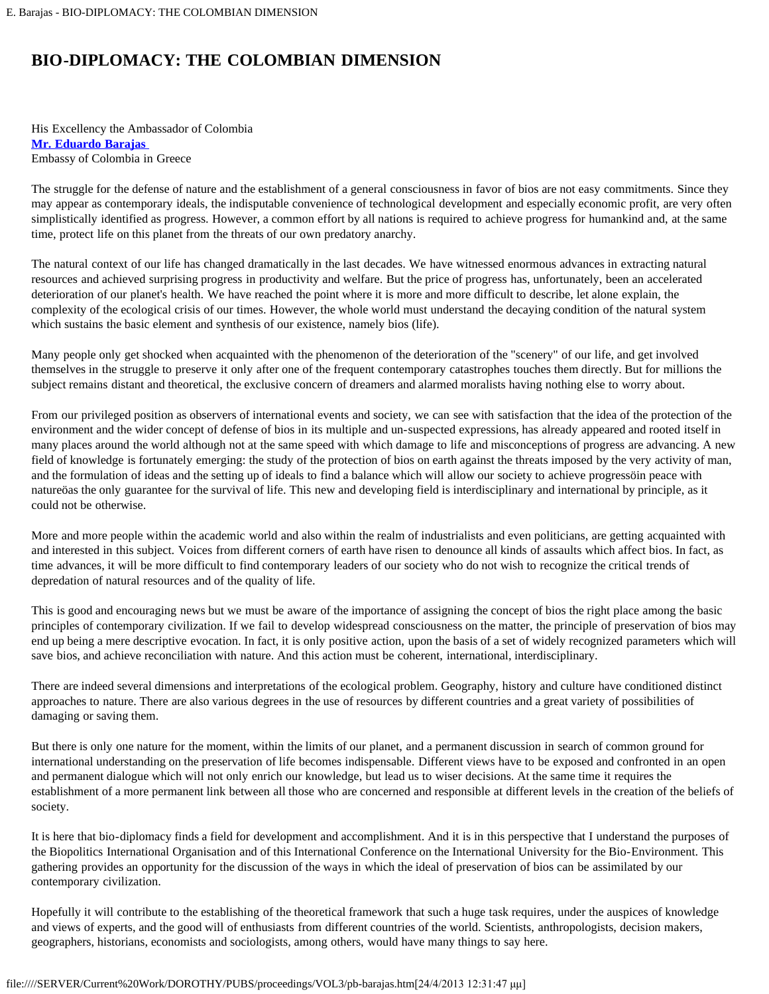## **BIO-DIPLOMACY: THE COLOMBIAN DIMENSION**

His Excellency the Ambassador of Colombia **[Mr. Eduardo Barajas](#page-2-0)** Embassy of Colombia in Greece

The struggle for the defense of nature and the establishment of a general consciousness in favor of bios are not easy commitments. Since they may appear as contemporary ideals, the indisputable convenience of technological development and especially economic profit, are very often simplistically identified as progress. However, a common effort by all nations is required to achieve progress for humankind and, at the same time, protect life on this planet from the threats of our own predatory anarchy.

The natural context of our life has changed dramatically in the last decades. We have witnessed enormous advances in extracting natural resources and achieved surprising progress in productivity and welfare. But the price of progress has, unfortunately, been an accelerated deterioration of our planet's health. We have reached the point where it is more and more difficult to describe, let alone explain, the complexity of the ecological crisis of our times. However, the whole world must understand the decaying condition of the natural system which sustains the basic element and synthesis of our existence, namely bios (life).

Many people only get shocked when acquainted with the phenomenon of the deterioration of the "scenery" of our life, and get involved themselves in the struggle to preserve it only after one of the frequent contemporary catastrophes touches them directly. But for millions the subject remains distant and theoretical, the exclusive concern of dreamers and alarmed moralists having nothing else to worry about.

From our privileged position as observers of international events and society, we can see with satisfaction that the idea of the protection of the environment and the wider concept of defense of bios in its multiple and un-suspected expressions, has already appeared and rooted itself in many places around the world although not at the same speed with which damage to life and misconceptions of progress are advancing. A new field of knowledge is fortunately emerging: the study of the protection of bios on earth against the threats imposed by the very activity of man, and the formulation of ideas and the setting up of ideals to find a balance which will allow our society to achieve progressöin peace with natureöas the only guarantee for the survival of life. This new and developing field is interdisciplinary and international by principle, as it could not be otherwise.

More and more people within the academic world and also within the realm of industrialists and even politicians, are getting acquainted with and interested in this subject. Voices from different corners of earth have risen to denounce all kinds of assaults which affect bios. In fact, as time advances, it will be more difficult to find contemporary leaders of our society who do not wish to recognize the critical trends of depredation of natural resources and of the quality of life.

This is good and encouraging news but we must be aware of the importance of assigning the concept of bios the right place among the basic principles of contemporary civilization. If we fail to develop widespread consciousness on the matter, the principle of preservation of bios may end up being a mere descriptive evocation. In fact, it is only positive action, upon the basis of a set of widely recognized parameters which will save bios, and achieve reconciliation with nature. And this action must be coherent, international, interdisciplinary.

There are indeed several dimensions and interpretations of the ecological problem. Geography, history and culture have conditioned distinct approaches to nature. There are also various degrees in the use of resources by different countries and a great variety of possibilities of damaging or saving them.

But there is only one nature for the moment, within the limits of our planet, and a permanent discussion in search of common ground for international understanding on the preservation of life becomes indispensable. Different views have to be exposed and confronted in an open and permanent dialogue which will not only enrich our knowledge, but lead us to wiser decisions. At the same time it requires the establishment of a more permanent link between all those who are concerned and responsible at different levels in the creation of the beliefs of society.

It is here that bio-diplomacy finds a field for development and accomplishment. And it is in this perspective that I understand the purposes of the Biopolitics International Organisation and of this International Conference on the International University for the Bio-Environment. This gathering provides an opportunity for the discussion of the ways in which the ideal of preservation of bios can be assimilated by our contemporary civilization.

Hopefully it will contribute to the establishing of the theoretical framework that such a huge task requires, under the auspices of knowledge and views of experts, and the good will of enthusiasts from different countries of the world. Scientists, anthropologists, decision makers, geographers, historians, economists and sociologists, among others, would have many things to say here.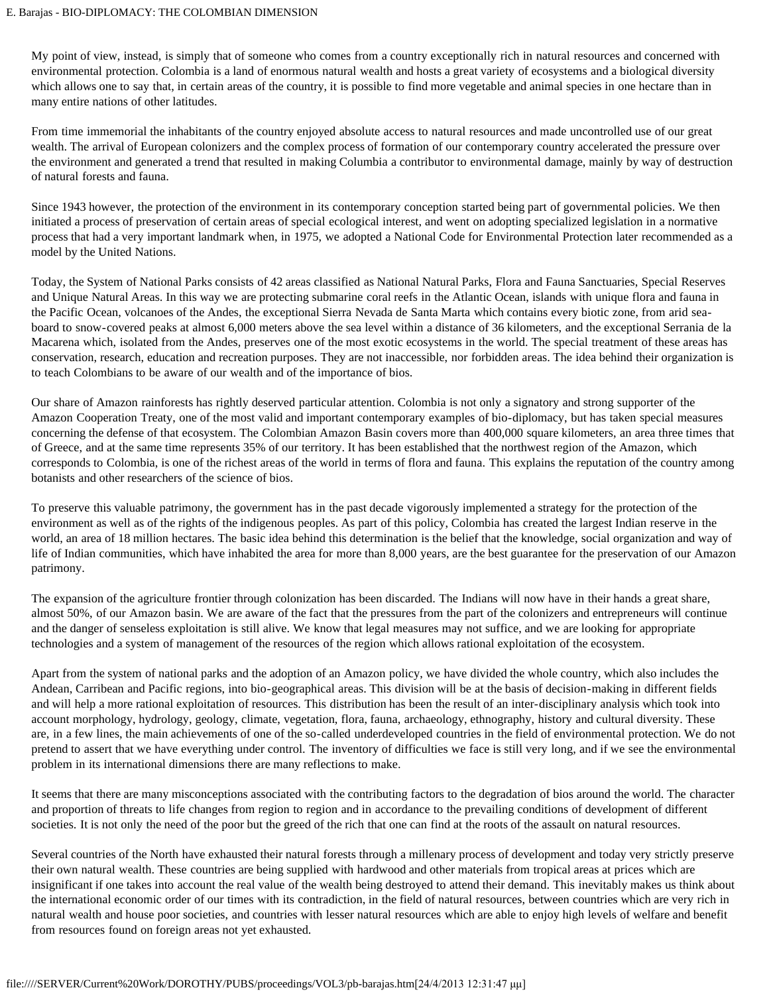My point of view, instead, is simply that of someone who comes from a country exceptionally rich in natural resources and concerned with environmental protection. Colombia is a land of enormous natural wealth and hosts a great variety of ecosystems and a biological diversity which allows one to say that, in certain areas of the country, it is possible to find more vegetable and animal species in one hectare than in many entire nations of other latitudes.

From time immemorial the inhabitants of the country enjoyed absolute access to natural resources and made uncontrolled use of our great wealth. The arrival of European colonizers and the complex process of formation of our contemporary country accelerated the pressure over the environment and generated a trend that resulted in making Columbia a contributor to environmental damage, mainly by way of destruction of natural forests and fauna.

Since 1943 however, the protection of the environment in its contemporary conception started being part of governmental policies. We then initiated a process of preservation of certain areas of special ecological interest, and went on adopting specialized legislation in a normative process that had a very important landmark when, in 1975, we adopted a National Code for Environmental Protection later recommended as a model by the United Nations.

Today, the System of National Parks consists of 42 areas classified as National Natural Parks, Flora and Fauna Sanctuaries, Special Reserves and Unique Natural Areas. In this way we are protecting submarine coral reefs in the Atlantic Ocean, islands with unique flora and fauna in the Pacific Ocean, volcanoes of the Andes, the exceptional Sierra Nevada de Santa Marta which contains every biotic zone, from arid seaboard to snow-covered peaks at almost 6,000 meters above the sea level within a distance of 36 kilometers, and the exceptional Serrania de la Macarena which, isolated from the Andes, preserves one of the most exotic ecosystems in the world. The special treatment of these areas has conservation, research, education and recreation purposes. They are not inaccessible, nor forbidden areas. The idea behind their organization is to teach Colombians to be aware of our wealth and of the importance of bios.

Our share of Amazon rainforests has rightly deserved particular attention. Colombia is not only a signatory and strong supporter of the Amazon Cooperation Treaty, one of the most valid and important contemporary examples of bio-diplomacy, but has taken special measures concerning the defense of that ecosystem. The Colombian Amazon Basin covers more than 400,000 square kilometers, an area three times that of Greece, and at the same time represents 35% of our territory. It has been established that the northwest region of the Amazon, which corresponds to Colombia, is one of the richest areas of the world in terms of flora and fauna. This explains the reputation of the country among botanists and other researchers of the science of bios.

To preserve this valuable patrimony, the government has in the past decade vigorously implemented a strategy for the protection of the environment as well as of the rights of the indigenous peoples. As part of this policy, Colombia has created the largest Indian reserve in the world, an area of 18 million hectares. The basic idea behind this determination is the belief that the knowledge, social organization and way of life of Indian communities, which have inhabited the area for more than 8,000 years, are the best guarantee for the preservation of our Amazon patrimony.

The expansion of the agriculture frontier through colonization has been discarded. The Indians will now have in their hands a great share, almost 50%, of our Amazon basin. We are aware of the fact that the pressures from the part of the colonizers and entrepreneurs will continue and the danger of senseless exploitation is still alive. We know that legal measures may not suffice, and we are looking for appropriate technologies and a system of management of the resources of the region which allows rational exploitation of the ecosystem.

Apart from the system of national parks and the adoption of an Amazon policy, we have divided the whole country, which also includes the Andean, Carribean and Pacific regions, into bio-geographical areas. This division will be at the basis of decision-making in different fields and will help a more rational exploitation of resources. This distribution has been the result of an inter-disciplinary analysis which took into account morphology, hydrology, geology, climate, vegetation, flora, fauna, archaeology, ethnography, history and cultural diversity. These are, in a few lines, the main achievements of one of the so-called underdeveloped countries in the field of environmental protection. We do not pretend to assert that we have everything under control. The inventory of difficulties we face is still very long, and if we see the environmental problem in its international dimensions there are many reflections to make.

It seems that there are many misconceptions associated with the contributing factors to the degradation of bios around the world. The character and proportion of threats to life changes from region to region and in accordance to the prevailing conditions of development of different societies. It is not only the need of the poor but the greed of the rich that one can find at the roots of the assault on natural resources.

Several countries of the North have exhausted their natural forests through a millenary process of development and today very strictly preserve their own natural wealth. These countries are being supplied with hardwood and other materials from tropical areas at prices which are insignificant if one takes into account the real value of the wealth being destroyed to attend their demand. This inevitably makes us think about the international economic order of our times with its contradiction, in the field of natural resources, between countries which are very rich in natural wealth and house poor societies, and countries with lesser natural resources which are able to enjoy high levels of welfare and benefit from resources found on foreign areas not yet exhausted.